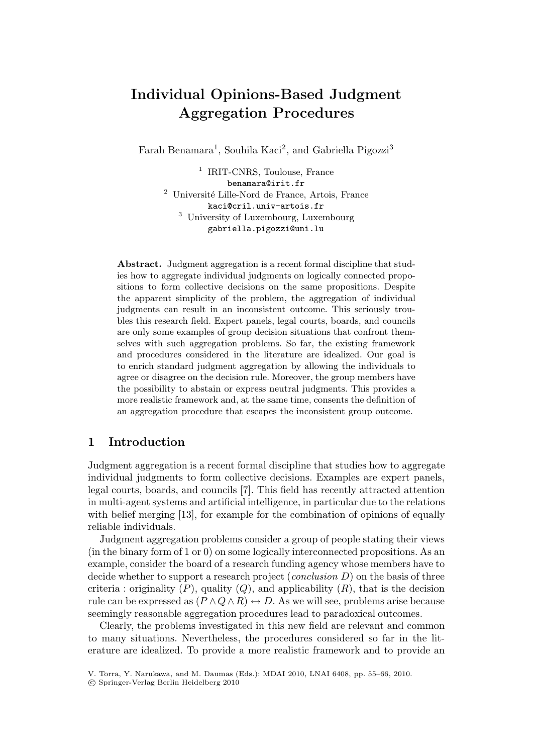# Individual Opinions-Based Judgment Aggregation Procedures

Farah Benamara<sup>1</sup>, Souhila Kaci<sup>2</sup>, and Gabriella Pigozzi<sup>3</sup>

<sup>1</sup> IRIT-CNRS, Toulouse, France benamara@irit.fr  $^{\rm 2}$ Université Lille-Nord de France, Artois, France kaci@cril.univ-artois.fr <sup>3</sup> University of Luxembourg, Luxembourg gabriella.pigozzi@uni.lu

Abstract. Judgment aggregation is a recent formal discipline that studies how to aggregate individual judgments on logically connected propositions to form collective decisions on the same propositions. Despite the apparent simplicity of the problem, the aggregation of individual judgments can result in an inconsistent outcome. This seriously troubles this research field. Expert panels, legal courts, boards, and councils are only some examples of group decision situations that confront themselves with such aggregation problems. So far, the existing framework and procedures considered in the literature are idealized. Our goal is to enrich standard judgment aggregation by allowing the individuals to agree or disagree on the decision rule. Moreover, the group members have the possibility to abstain or express neutral judgments. This provides a more realistic framework and, at the same time, consents the definition of an aggregation procedure that escapes the inconsistent group outcome.

# 1 Introduction

Judgment aggregation is a recent formal discipline that studies how to aggregate individual judgments to form collective decisions. Examples are expert panels, legal courts, boards, and councils [7]. This field has recently attracted attention in multi-agent systems and artificial intelligence, in particular due to the relations with belief merging [13], for example for the combination of opinions of equally reliable individuals.

Judgment aggregation problems consider a group of people stating their views (in the binary form of 1 or 0) on some logically interconnected propositions. As an example, consider the board of a research funding agency whose members have to decide whether to support a research project (*conclusion*  $D$ ) on the basis of three criteria : originality  $(P)$ , quality  $(Q)$ , and applicability  $(R)$ , that is the decision rule can be expressed as  $(P \wedge Q \wedge R) \leftrightarrow D$ . As we will see, problems arise because seemingly reasonable aggregation procedures lead to paradoxical outcomes.

Clearly, the problems investigated in this new field are relevant and common to many situations. Nevertheless, the procedures considered so far in the literature are idealized. To provide a more realistic framework and to provide an

V. Torra, Y. Narukawa, and M. Daumas (Eds.): MDAI 2010, LNAI 6408, pp. 55–66, 2010.

<sup>!</sup>c Springer-Verlag Berlin Heidelberg 2010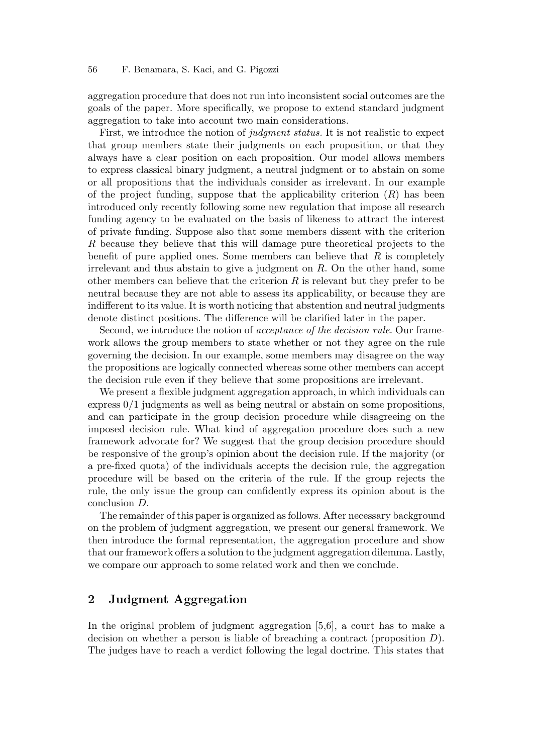aggregation procedure that does not run into inconsistent social outcomes are the goals of the paper. More specifically, we propose to extend standard judgment aggregation to take into account two main considerations.

First, we introduce the notion of judgment status. It is not realistic to expect that group members state their judgments on each proposition, or that they always have a clear position on each proposition. Our model allows members to express classical binary judgment, a neutral judgment or to abstain on some or all propositions that the individuals consider as irrelevant. In our example of the project funding, suppose that the applicability criterion  $(R)$  has been introduced only recently following some new regulation that impose all research funding agency to be evaluated on the basis of likeness to attract the interest of private funding. Suppose also that some members dissent with the criterion R because they believe that this will damage pure theoretical projects to the benefit of pure applied ones. Some members can believe that  $R$  is completely irrelevant and thus abstain to give a judgment on  $R$ . On the other hand, some other members can believe that the criterion  $R$  is relevant but they prefer to be neutral because they are not able to assess its applicability, or because they are indifferent to its value. It is worth noticing that abstention and neutral judgments denote distinct positions. The difference will be clarified later in the paper.

Second, we introduce the notion of acceptance of the decision rule. Our framework allows the group members to state whether or not they agree on the rule governing the decision. In our example, some members may disagree on the way the propositions are logically connected whereas some other members can accept the decision rule even if they believe that some propositions are irrelevant.

We present a flexible judgment aggregation approach, in which individuals can express 0/1 judgments as well as being neutral or abstain on some propositions, and can participate in the group decision procedure while disagreeing on the imposed decision rule. What kind of aggregation procedure does such a new framework advocate for? We suggest that the group decision procedure should be responsive of the group's opinion about the decision rule. If the majority (or a pre-fixed quota) of the individuals accepts the decision rule, the aggregation procedure will be based on the criteria of the rule. If the group rejects the rule, the only issue the group can confidently express its opinion about is the conclusion D.

The remainder of this paper is organized as follows. After necessary background on the problem of judgment aggregation, we present our general framework. We then introduce the formal representation, the aggregation procedure and show that our framework offers a solution to the judgment aggregation dilemma. Lastly, we compare our approach to some related work and then we conclude.

# 2 Judgment Aggregation

In the original problem of judgment aggregation [5,6], a court has to make a decision on whether a person is liable of breaching a contract (proposition  $D$ ). The judges have to reach a verdict following the legal doctrine. This states that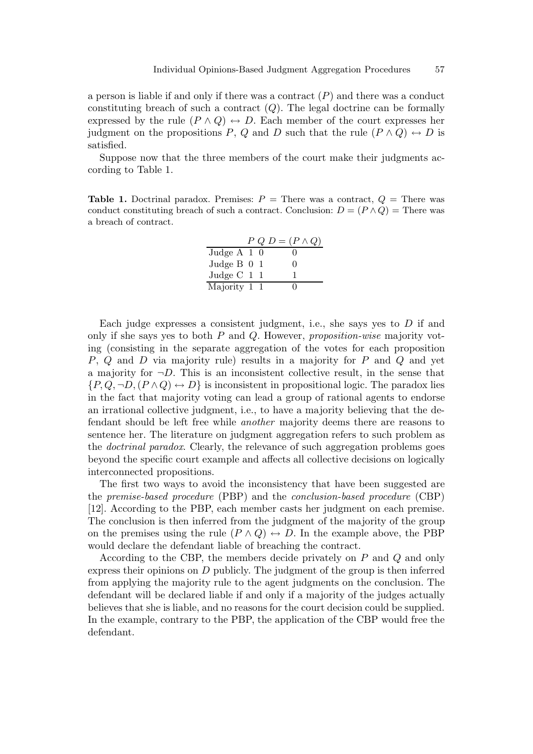a person is liable if and only if there was a contract  $(P)$  and there was a conduct constituting breach of such a contract  $(Q)$ . The legal doctrine can be formally expressed by the rule  $(P \wedge Q) \leftrightarrow D$ . Each member of the court expresses her judgment on the propositions P, Q and D such that the rule  $(P \wedge Q) \leftrightarrow D$  is satisfied.

Suppose now that the three members of the court make their judgments according to Table 1.

**Table 1.** Doctrinal paradox. Premises:  $P =$  There was a contract,  $Q =$  There was conduct constituting breach of such a contract. Conclusion:  $D = (P \wedge Q)$  = There was a breach of contract.

|                   |  | $P Q D = (P \wedge Q)$ |
|-------------------|--|------------------------|
| Judge $A \ 1 \ 0$ |  | ' '                    |
| Judge $B \t0 1$   |  | 0                      |
| Judge $C_1$ 1     |  |                        |
| Majority 1 1      |  |                        |

Each judge expresses a consistent judgment, i.e., she says yes to  $D$  if and only if she says yes to both  $P$  and  $Q$ . However, proposition-wise majority voting (consisting in the separate aggregation of the votes for each proposition P, Q and D via majority rule) results in a majority for P and Q and yet a majority for  $\neg D$ . This is an inconsistent collective result, in the sense that  $\{P, Q, \neg D, (P \land Q) \leftrightarrow D\}$  is inconsistent in propositional logic. The paradox lies in the fact that majority voting can lead a group of rational agents to endorse an irrational collective judgment, i.e., to have a majority believing that the defendant should be left free while another majority deems there are reasons to sentence her. The literature on judgment aggregation refers to such problem as the doctrinal paradox. Clearly, the relevance of such aggregation problems goes beyond the specific court example and affects all collective decisions on logically interconnected propositions.

The first two ways to avoid the inconsistency that have been suggested are the premise-based procedure (PBP) and the conclusion-based procedure (CBP) [12]. According to the PBP, each member casts her judgment on each premise. The conclusion is then inferred from the judgment of the majority of the group on the premises using the rule  $(P \wedge Q) \leftrightarrow D$ . In the example above, the PBP would declare the defendant liable of breaching the contract.

According to the CBP, the members decide privately on P and Q and only express their opinions on D publicly. The judgment of the group is then inferred from applying the majority rule to the agent judgments on the conclusion. The defendant will be declared liable if and only if a majority of the judges actually believes that she is liable, and no reasons for the court decision could be supplied. In the example, contrary to the PBP, the application of the CBP would free the defendant.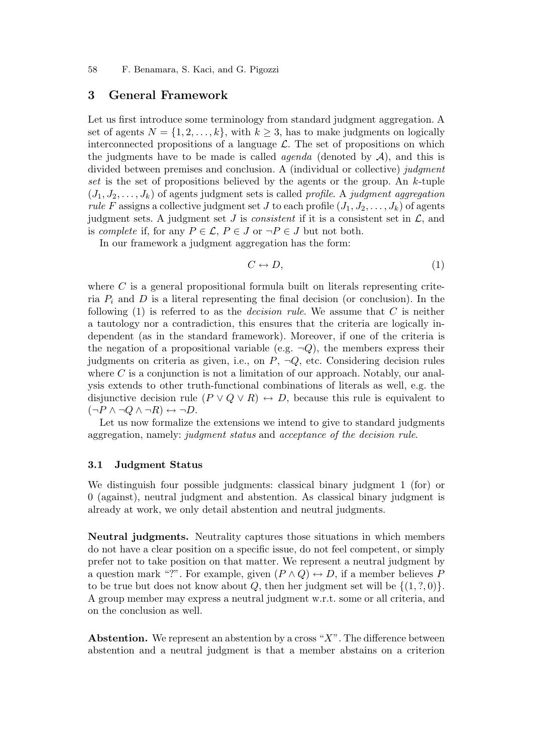#### 3 General Framework

Let us first introduce some terminology from standard judgment aggregation. A set of agents  $N = \{1, 2, \ldots, k\}$ , with  $k \geq 3$ , has to make judgments on logically interconnected propositions of a language  $\mathcal{L}$ . The set of propositions on which the judgments have to be made is called *agenda* (denoted by  $A$ ), and this is divided between premises and conclusion. A (individual or collective) judgment set is the set of propositions believed by the agents or the group. An k-tuple  $(J_1, J_2, \ldots, J_k)$  of agents judgment sets is called *profile.* A *judgment aggregation* rule F assigns a collective judgment set J to each profile  $(J_1, J_2, \ldots, J_k)$  of agents judgment sets. A judgment set J is *consistent* if it is a consistent set in  $\mathcal{L}$ , and is *complete* if, for any  $P \in \mathcal{L}$ ,  $P \in J$  or  $\neg P \in J$  but not both.

In our framework a judgment aggregation has the form:

$$
C \leftrightarrow D,\tag{1}
$$

where  $C$  is a general propositional formula built on literals representing criteria  $P_i$  and D is a literal representing the final decision (or conclusion). In the following  $(1)$  is referred to as the *decision rule*. We assume that C is neither a tautology nor a contradiction, this ensures that the criteria are logically independent (as in the standard framework). Moreover, if one of the criteria is the negation of a propositional variable (e.g.  $\neg Q$ ), the members express their judgments on criteria as given, i.e., on  $P$ ,  $\neg Q$ , etc. Considering decision rules where  $C$  is a conjunction is not a limitation of our approach. Notably, our analysis extends to other truth-functional combinations of literals as well, e.g. the disjunctive decision rule  $(P \vee Q \vee R) \leftrightarrow D$ , because this rule is equivalent to  $(\neg P \land \neg Q \land \neg R) \leftrightarrow \neg D.$ 

Let us now formalize the extensions we intend to give to standard judgments aggregation, namely: judgment status and acceptance of the decision rule.

#### 3.1 Judgment Status

We distinguish four possible judgments: classical binary judgment 1 (for) or 0 (against), neutral judgment and abstention. As classical binary judgment is already at work, we only detail abstention and neutral judgments.

Neutral judgments. Neutrality captures those situations in which members do not have a clear position on a specific issue, do not feel competent, or simply prefer not to take position on that matter. We represent a neutral judgment by a question mark "?". For example, given  $(P \wedge Q) \leftrightarrow D$ , if a member believes P to be true but does not know about Q, then her judgment set will be  $\{(1,?,0)\}.$ A group member may express a neutral judgment w.r.t. some or all criteria, and on the conclusion as well.

**Abstention.** We represent an abstention by a cross " $X$ ". The difference between abstention and a neutral judgment is that a member abstains on a criterion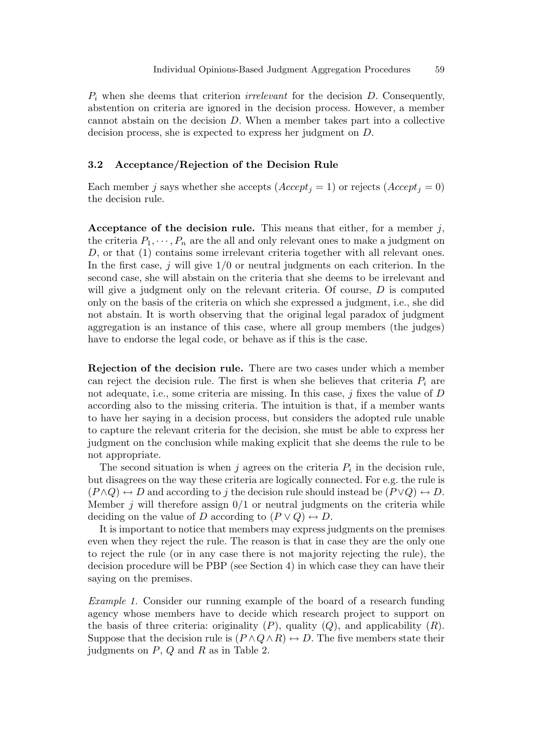$P_i$  when she deems that criterion *irrelevant* for the decision  $D$ . Consequently, abstention on criteria are ignored in the decision process. However, a member cannot abstain on the decision  $D$ . When a member takes part into a collective decision process, she is expected to express her judgment on D.

#### 3.2 Acceptance/Rejection of the Decision Rule

Each member j says whether she accepts  $(Accept<sub>j</sub> = 1)$  or rejects  $(Accept<sub>j</sub> = 0)$ the decision rule.

Acceptance of the decision rule. This means that either, for a member  $j$ , the criteria  $P_1, \dots, P_n$  are the all and only relevant ones to make a judgment on D, or that (1) contains some irrelevant criteria together with all relevant ones. In the first case, j will give  $1/0$  or neutral judgments on each criterion. In the second case, she will abstain on the criteria that she deems to be irrelevant and will give a judgment only on the relevant criteria. Of course,  $D$  is computed only on the basis of the criteria on which she expressed a judgment, i.e., she did not abstain. It is worth observing that the original legal paradox of judgment aggregation is an instance of this case, where all group members (the judges) have to endorse the legal code, or behave as if this is the case.

Rejection of the decision rule. There are two cases under which a member can reject the decision rule. The first is when she believes that criteria  $P_i$  are not adequate, i.e., some criteria are missing. In this case,  $j$  fixes the value of  $D$ according also to the missing criteria. The intuition is that, if a member wants to have her saying in a decision process, but considers the adopted rule unable to capture the relevant criteria for the decision, she must be able to express her judgment on the conclusion while making explicit that she deems the rule to be not appropriate.

The second situation is when j agrees on the criteria  $P_i$  in the decision rule, but disagrees on the way these criteria are logically connected. For e.g. the rule is  $(P \land Q) \leftrightarrow D$  and according to j the decision rule should instead be  $(P \lor Q) \leftrightarrow D$ . Member  $j$  will therefore assign  $0/1$  or neutral judgments on the criteria while deciding on the value of D according to  $(P \vee Q) \leftrightarrow D$ .

It is important to notice that members may express judgments on the premises even when they reject the rule. The reason is that in case they are the only one to reject the rule (or in any case there is not majority rejecting the rule), the decision procedure will be PBP (see Section 4) in which case they can have their saying on the premises.

Example 1. Consider our running example of the board of a research funding agency whose members have to decide which research project to support on the basis of three criteria: originality  $(P)$ , quality  $(Q)$ , and applicability  $(R)$ . Suppose that the decision rule is  $(P \wedge Q \wedge R) \leftrightarrow D$ . The five members state their judgments on  $P$ ,  $Q$  and  $R$  as in Table 2.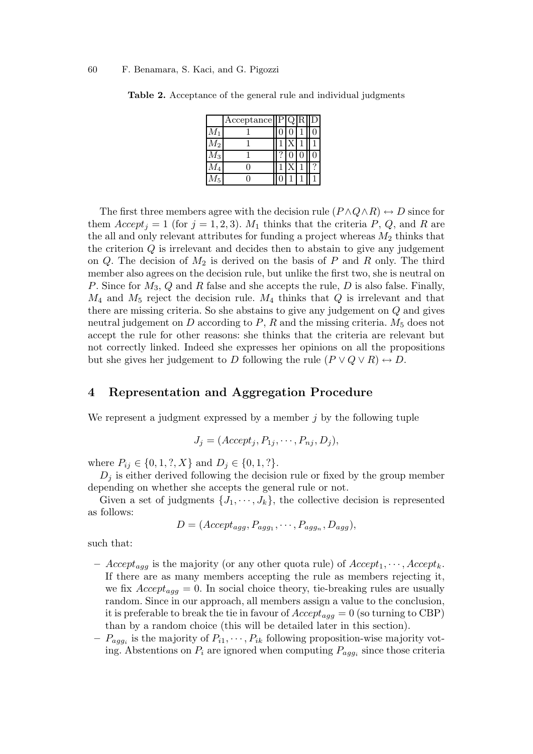|       | $\rm Acceptance   P Q R  D$ |  |  |  |
|-------|-----------------------------|--|--|--|
| $M_1$ |                             |  |  |  |
| $M_2$ |                             |  |  |  |
| $M_3$ |                             |  |  |  |
| $M_4$ |                             |  |  |  |
| $M_5$ |                             |  |  |  |

Table 2. Acceptance of the general rule and individual judgments

The first three members agree with the decision rule  $(P \land Q \land R) \leftrightarrow D$  since for them  $Accept_j = 1$  (for  $j = 1, 2, 3$ ).  $M_1$  thinks that the criteria P, Q, and R are the all and only relevant attributes for funding a project whereas  $M_2$  thinks that the criterion  $Q$  is irrelevant and decides then to abstain to give any judgement on  $Q$ . The decision of  $M_2$  is derived on the basis of P and R only. The third member also agrees on the decision rule, but unlike the first two, she is neutral on P. Since for  $M_3$ , Q and R false and she accepts the rule, D is also false. Finally,  $M_4$  and  $M_5$  reject the decision rule.  $M_4$  thinks that  $Q$  is irrelevant and that there are missing criteria. So she abstains to give any judgement on Q and gives neutral judgement on  $D$  according to  $P$ ,  $R$  and the missing criteria.  $M_5$  does not accept the rule for other reasons: she thinks that the criteria are relevant but not correctly linked. Indeed she expresses her opinions on all the propositions but she gives her judgement to D following the rule  $(P \vee Q \vee R) \leftrightarrow D$ .

## 4 Representation and Aggregation Procedure

We represent a judgment expressed by a member  $j$  by the following tuple

$$
J_j = (Accept_j, P_{1j}, \cdots, P_{nj}, D_j),
$$

where  $P_{ij} \in \{0, 1, ?, X\}$  and  $D_j \in \{0, 1, ?\}$ .

 $D_i$  is either derived following the decision rule or fixed by the group member depending on whether she accepts the general rule or not.

Given a set of judgments  $\{J_1, \dots, J_k\}$ , the collective decision is represented as follows:

$$
D = (Accept_{agg}, P_{agg_1}, \cdots, P_{agg_n}, D_{agg}),
$$

such that:

- Accept<sub>agg</sub> is the majority (or any other quota rule) of  $Accept_1, \dots, Accept_k$ . If there are as many members accepting the rule as members rejecting it, we fix  $Accept_{agg} = 0$ . In social choice theory, tie-breaking rules are usually random. Since in our approach, all members assign a value to the conclusion, it is preferable to break the tie in favour of  $Accept_{agg} = 0$  (so turning to CBP) than by a random choice (this will be detailed later in this section).
- $-P_{agg_i}$  is the majority of  $P_{i1}, \dots, P_{ik}$  following proposition-wise majority voting. Abstentions on  $P_i$  are ignored when computing  $P_{aqq_i}$  since those criteria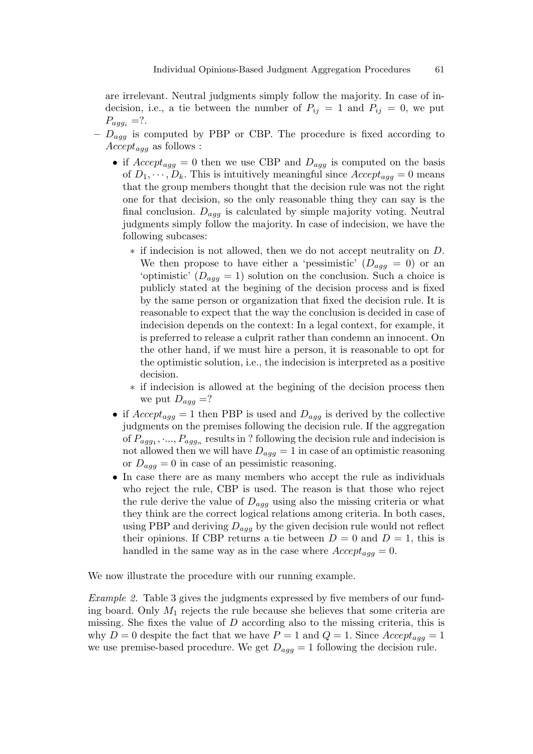are irrelevant. Neutral judgments simply follow the majority. In case of indecision, i.e., a tie between the number of  $P_{ij} = 1$  and  $P_{ij} = 0$ , we put  $P_{agg_i}$  =?.

- $D_{aqq}$  is computed by PBP or CBP. The procedure is fixed according to  $Accept_{aqa}$  as follows :
	- if  $Accept_{agg} = 0$  then we use CBP and  $D_{agg}$  is computed on the basis of  $D_1, \dots, D_k$ . This is intuitively meaningful since  $Accept_{agg} = 0$  means that the group members thought that the decision rule was not the right one for that decision, so the only reasonable thing they can say is the final conclusion.  $D_{agg}$  is calculated by simple majority voting. Neutral judgments simply follow the majority. In case of indecision, we have the following subcases:
		- ∗ if indecision is not allowed, then we do not accept neutrality on D. We then propose to have either a 'pessimistic'  $(D_{aqq} = 0)$  or an 'optimistic'  $(D_{agg} = 1)$  solution on the conclusion. Such a choice is publicly stated at the begining of the decision process and is fixed by the same person or organization that fixed the decision rule. It is reasonable to expect that the way the conclusion is decided in case of indecision depends on the context: In a legal context, for example, it is preferred to release a culprit rather than condemn an innocent. On the other hand, if we must hire a person, it is reasonable to opt for the optimistic solution, i.e., the indecision is interpreted as a positive decision.
		- ∗ if indecision is allowed at the begining of the decision process then we put  $D_{agg} = ?$
	- if  $Accept_{agg} = 1$  then PBP is used and  $D_{agg}$  is derived by the collective judgments on the premises following the decision rule. If the aggregation of  $P_{aqq_1}, \ldots, P_{aqq_n}$  results in ? following the decision rule and indecision is not allowed then we will have  $D_{agg} = 1$  in case of an optimistic reasoning or  $D_{agg} = 0$  in case of an pessimistic reasoning.
	- In case there are as many members who accept the rule as individuals who reject the rule, CBP is used. The reason is that those who reject the rule derive the value of  $D_{agg}$  using also the missing criteria or what they think are the correct logical relations among criteria. In both cases, using PBP and deriving  $D_{aqq}$  by the given decision rule would not reflect their opinions. If CBP returns a tie between  $D = 0$  and  $D = 1$ , this is handled in the same way as in the case where  $Accept_{agg} = 0$ .

We now illustrate the procedure with our running example.

Example 2. Table 3 gives the judgments expressed by five members of our funding board. Only  $M_1$  rejects the rule because she believes that some criteria are missing. She fixes the value of  $D$  according also to the missing criteria, this is why  $D = 0$  despite the fact that we have  $P = 1$  and  $Q = 1$ . Since  $Accept_{aqq} = 1$ we use premise-based procedure. We get  $D_{agg} = 1$  following the decision rule.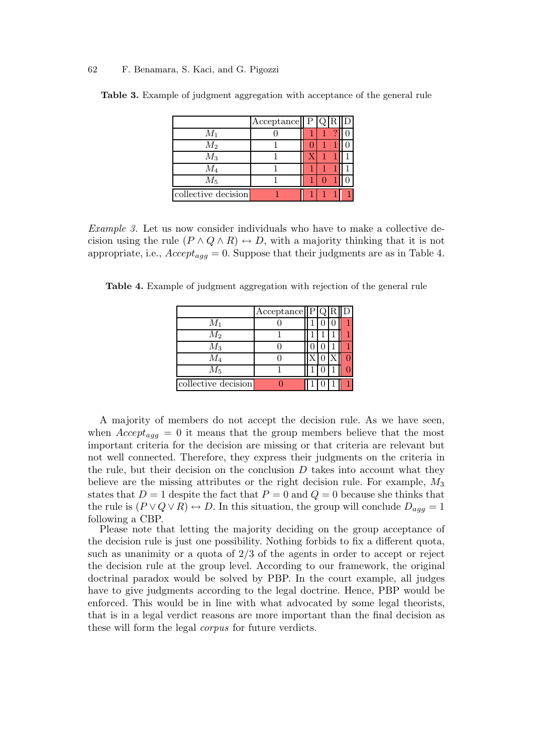|                     | Acceptance   P |  |  |
|---------------------|----------------|--|--|
| $M_1$               |                |  |  |
| $M_2$               |                |  |  |
| $M_3$               |                |  |  |
| $\,M_4$             |                |  |  |
| $M_5$               |                |  |  |
| collective decision |                |  |  |

Table 3. Example of judgment aggregation with acceptance of the general rule

Example 3. Let us now consider individuals who have to make a collective decision using the rule  $(P \wedge Q \wedge R) \leftrightarrow D$ , with a majority thinking that it is not appropriate, i.e.,  $Accept_{agg} = 0$ . Suppose that their judgments are as in Table 4.

Table 4. Example of judgment aggregation with rejection of the general rule

|                     | Acceptance | P. | $Q_1$ |  |
|---------------------|------------|----|-------|--|
| $M_1$               |            |    |       |  |
| $M_2$               |            |    |       |  |
| $M_3$               |            |    |       |  |
| $\,M_4$             |            |    |       |  |
| $M_5$               |            |    |       |  |
| collective decision |            |    |       |  |

A majority of members do not accept the decision rule. As we have seen, when  $Accept_{aqq} = 0$  it means that the group members believe that the most important criteria for the decision are missing or that criteria are relevant but not well connected. Therefore, they express their judgments on the criteria in the rule, but their decision on the conclusion  $D$  takes into account what they believe are the missing attributes or the right decision rule. For example,  $M_3$ states that  $D = 1$  despite the fact that  $P = 0$  and  $Q = 0$  because she thinks that the rule is  $(P \vee Q \vee R) \leftrightarrow D$ . In this situation, the group will conclude  $D_{agg} = 1$ following a CBP.

Please note that letting the majority deciding on the group acceptance of the decision rule is just one possibility. Nothing forbids to fix a different quota, such as unanimity or a quota of 2/3 of the agents in order to accept or reject the decision rule at the group level. According to our framework, the original doctrinal paradox would be solved by PBP. In the court example, all judges have to give judgments according to the legal doctrine. Hence, PBP would be enforced. This would be in line with what advocated by some legal theorists, that is in a legal verdict reasons are more important than the final decision as these will form the legal corpus for future verdicts.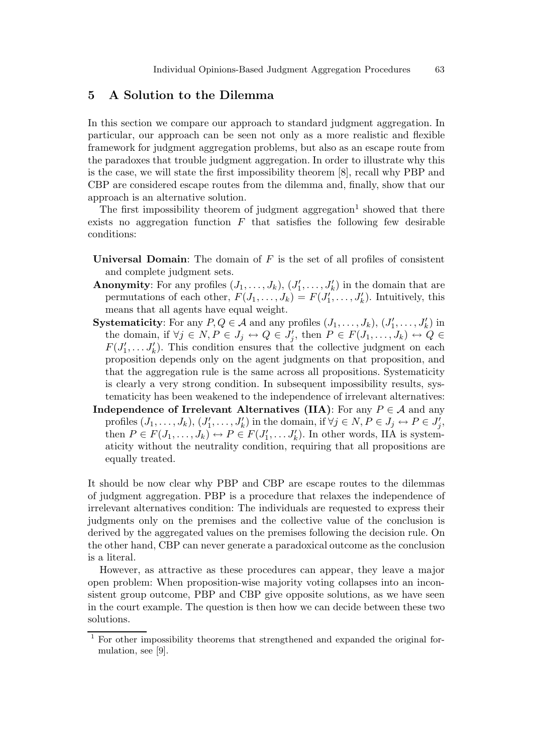# 5 A Solution to the Dilemma

In this section we compare our approach to standard judgment aggregation. In particular, our approach can be seen not only as a more realistic and flexible framework for judgment aggregation problems, but also as an escape route from the paradoxes that trouble judgment aggregation. In order to illustrate why this is the case, we will state the first impossibility theorem [8], recall why PBP and CBP are considered escape routes from the dilemma and, finally, show that our approach is an alternative solution.

The first impossibility theorem of judgment aggregation<sup>1</sup> showed that there exists no aggregation function  $F$  that satisfies the following few desirable conditions:

- Universal Domain: The domain of  $F$  is the set of all profiles of consistent and complete judgment sets.
- **Anonymity**: For any profiles  $(J_1, \ldots, J_k)$ ,  $(J'_1, \ldots, J'_k)$  in the domain that are permutations of each other,  $F(J_1, \ldots, J_k) = F(J'_1, \ldots, J'_k)$ . Intuitively, this means that all agents have equal weight.
- **Systematicity**: For any  $P, Q \in \mathcal{A}$  and any profiles  $(J_1, \ldots, J_k)$ ,  $(J'_1, \ldots, J'_k)$  in the domain, if  $\forall j \in N, P \in J_j \leftrightarrow Q \in J'_j$ , then  $P \in F(J_1, \ldots, J_k) \leftrightarrow Q \in$  $F(J'_1, \ldots, J'_k)$ . This condition ensures that the collective judgment on each proposition depends only on the agent judgments on that proposition, and that the aggregation rule is the same across all propositions. Systematicity is clearly a very strong condition. In subsequent impossibility results, systematicity has been weakened to the independence of irrelevant alternatives:
- Independence of Irrelevant Alternatives (IIA): For any  $P \in \mathcal{A}$  and any profiles  $(J_1, \ldots, J_k)$ ,  $(J'_1, \ldots, J'_k)$  in the domain, if  $\forall j \in N, P \in J_j \leftrightarrow P \in J'_j$ , then  $P \in F(J_1, \ldots, J_k) \leftrightarrow P \in F(J'_1, \ldots, J'_k)$ . In other words, IIA is systematicity without the neutrality condition, requiring that all propositions are equally treated.

It should be now clear why PBP and CBP are escape routes to the dilemmas of judgment aggregation. PBP is a procedure that relaxes the independence of irrelevant alternatives condition: The individuals are requested to express their judgments only on the premises and the collective value of the conclusion is derived by the aggregated values on the premises following the decision rule. On the other hand, CBP can never generate a paradoxical outcome as the conclusion is a literal.

However, as attractive as these procedures can appear, they leave a major open problem: When proposition-wise majority voting collapses into an inconsistent group outcome, PBP and CBP give opposite solutions, as we have seen in the court example. The question is then how we can decide between these two solutions.

<sup>&</sup>lt;sup>1</sup> For other impossibility theorems that strengthened and expanded the original formulation, see [9].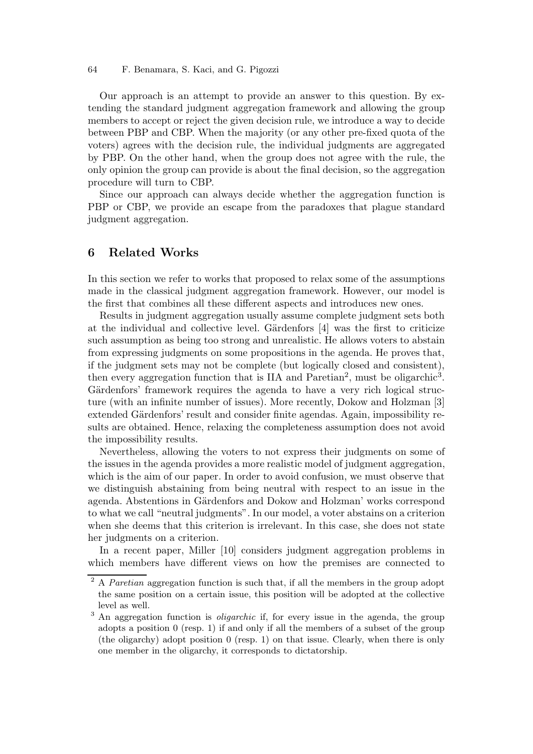#### 64 F. Benamara, S. Kaci, and G. Pigozzi

Our approach is an attempt to provide an answer to this question. By extending the standard judgment aggregation framework and allowing the group members to accept or reject the given decision rule, we introduce a way to decide between PBP and CBP. When the majority (or any other pre-fixed quota of the voters) agrees with the decision rule, the individual judgments are aggregated by PBP. On the other hand, when the group does not agree with the rule, the only opinion the group can provide is about the final decision, so the aggregation procedure will turn to CBP.

Since our approach can always decide whether the aggregation function is PBP or CBP, we provide an escape from the paradoxes that plague standard judgment aggregation.

## 6 Related Works

In this section we refer to works that proposed to relax some of the assumptions made in the classical judgment aggregation framework. However, our model is the first that combines all these different aspects and introduces new ones.

Results in judgment aggregation usually assume complete judgment sets both at the individual and collective level. Gärdenfors [4] was the first to criticize such assumption as being too strong and unrealistic. He allows voters to abstain from expressing judgments on some propositions in the agenda. He proves that, if the judgment sets may not be complete (but logically closed and consistent), then every aggregation function that is IIA and Paretian<sup>2</sup>, must be oligarchic<sup>3</sup>. Gärdenfors' framework requires the agenda to have a very rich logical structure (with an infinite number of issues). More recently, Dokow and Holzman [3] extended Gärdenfors' result and consider finite agendas. Again, impossibility results are obtained. Hence, relaxing the completeness assumption does not avoid the impossibility results.

Nevertheless, allowing the voters to not express their judgments on some of the issues in the agenda provides a more realistic model of judgment aggregation, which is the aim of our paper. In order to avoid confusion, we must observe that we distinguish abstaining from being neutral with respect to an issue in the agenda. Abstentions in Gärdenfors and Dokow and Holzman' works correspond to what we call "neutral judgments". In our model, a voter abstains on a criterion when she deems that this criterion is irrelevant. In this case, she does not state her judgments on a criterion.

In a recent paper, Miller [10] considers judgment aggregation problems in which members have different views on how the premises are connected to

<sup>&</sup>lt;sup>2</sup> A *Paretian* aggregation function is such that, if all the members in the group adopt the same position on a certain issue, this position will be adopted at the collective level as well.

<sup>&</sup>lt;sup>3</sup> An aggregation function is *oligarchic* if, for every issue in the agenda, the group adopts a position 0 (resp. 1) if and only if all the members of a subset of the group (the oligarchy) adopt position 0 (resp. 1) on that issue. Clearly, when there is only one member in the oligarchy, it corresponds to dictatorship.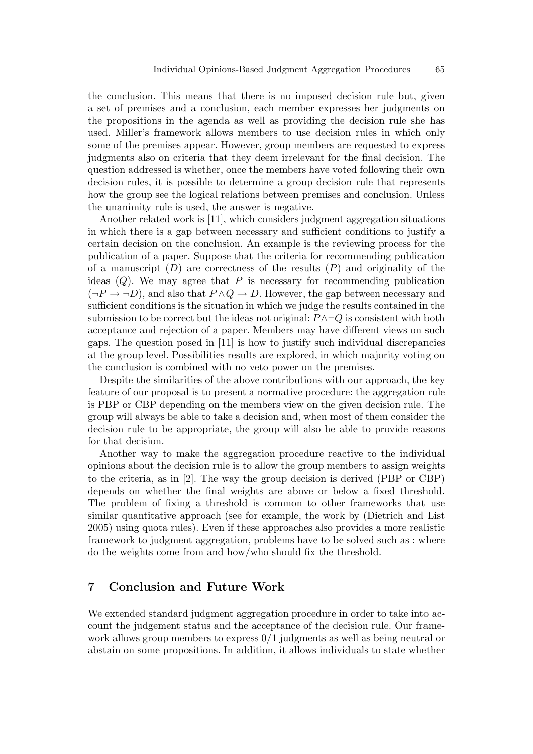the conclusion. This means that there is no imposed decision rule but, given a set of premises and a conclusion, each member expresses her judgments on the propositions in the agenda as well as providing the decision rule she has used. Miller's framework allows members to use decision rules in which only some of the premises appear. However, group members are requested to express judgments also on criteria that they deem irrelevant for the final decision. The question addressed is whether, once the members have voted following their own decision rules, it is possible to determine a group decision rule that represents how the group see the logical relations between premises and conclusion. Unless the unanimity rule is used, the answer is negative.

Another related work is [11], which considers judgment aggregation situations in which there is a gap between necessary and sufficient conditions to justify a certain decision on the conclusion. An example is the reviewing process for the publication of a paper. Suppose that the criteria for recommending publication of a manuscript  $(D)$  are correctness of the results  $(P)$  and originality of the ideas  $(Q)$ . We may agree that P is necessary for recommending publication  $(\neg P \rightarrow \neg D)$ , and also that  $P \land Q \rightarrow D$ . However, the gap between necessary and sufficient conditions is the situation in which we judge the results contained in the submission to be correct but the ideas not original:  $P \land \neg Q$  is consistent with both acceptance and rejection of a paper. Members may have different views on such gaps. The question posed in [11] is how to justify such individual discrepancies at the group level. Possibilities results are explored, in which majority voting on the conclusion is combined with no veto power on the premises.

Despite the similarities of the above contributions with our approach, the key feature of our proposal is to present a normative procedure: the aggregation rule is PBP or CBP depending on the members view on the given decision rule. The group will always be able to take a decision and, when most of them consider the decision rule to be appropriate, the group will also be able to provide reasons for that decision.

Another way to make the aggregation procedure reactive to the individual opinions about the decision rule is to allow the group members to assign weights to the criteria, as in [2]. The way the group decision is derived (PBP or CBP) depends on whether the final weights are above or below a fixed threshold. The problem of fixing a threshold is common to other frameworks that use similar quantitative approach (see for example, the work by (Dietrich and List 2005) using quota rules). Even if these approaches also provides a more realistic framework to judgment aggregation, problems have to be solved such as : where do the weights come from and how/who should fix the threshold.

# 7 Conclusion and Future Work

We extended standard judgment aggregation procedure in order to take into account the judgement status and the acceptance of the decision rule. Our framework allows group members to express 0/1 judgments as well as being neutral or abstain on some propositions. In addition, it allows individuals to state whether